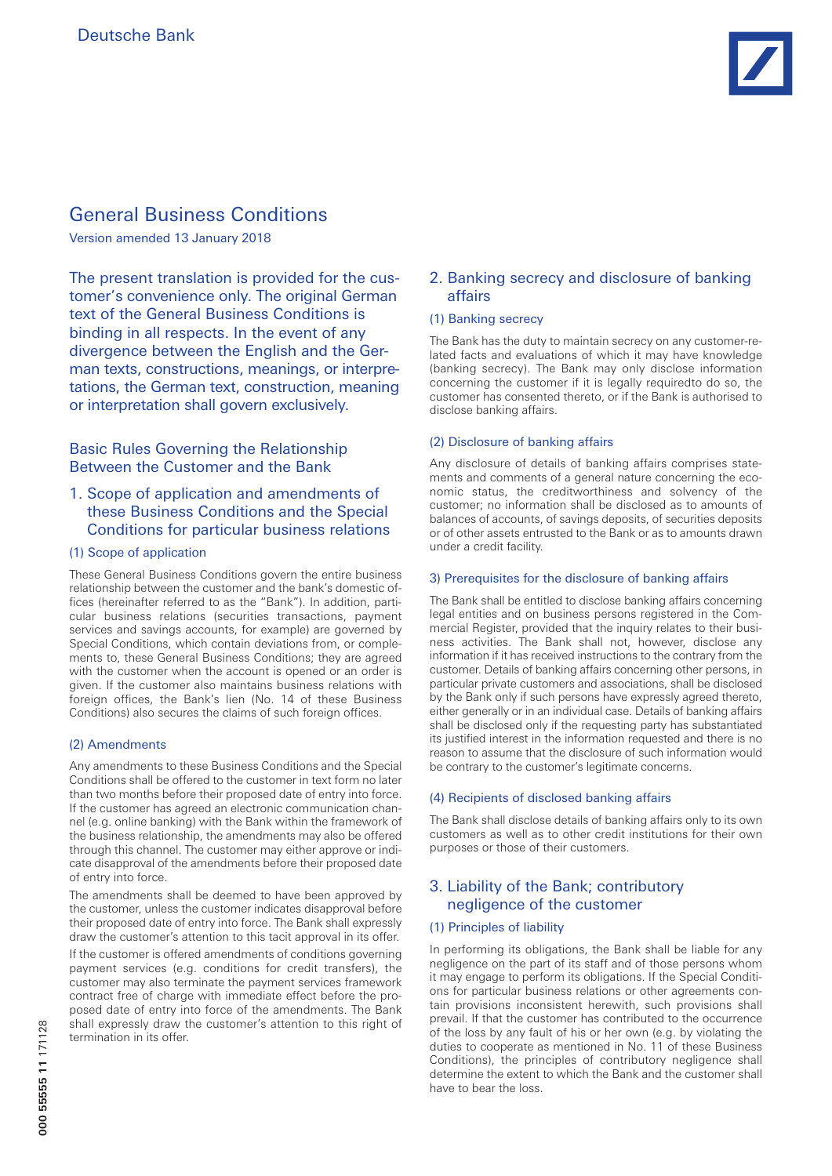# General Business Conditions

Version amended 13 January 2018

The present translation is provided for the customer's convenience only. The original German text of the General Business Conditions is binding in all respects. In the event of any divergence between the English and the German texts, constructions, meanings, or interpretations, the German text, construction, meaning or interpretation shall govern exclusively.

## Basic Rules Governing the Relationship Between the Customer and the Bank

## 1. Scope of application and amendments of these Business Conditions and the Special Conditions for particular business relations

## (1) Scope of application

These General Business Conditions govern the entire business relationship between the customer and the bank's domestic offices (hereinafter referred to as the "Bank"). In addition, particular business relations (securities transactions, payment services and savings accounts, for example) are governed by Special Conditions, which contain deviations from, or complements to, these General Business Conditions; they are agreed with the customer when the account is opened or an order is given. If the customer also maintains business relations with foreign offices, the Bank's lien (No. 14 of these Business Conditions) also secures the claims of such foreign offices.

## (2) Amendments

Any amendments to these Business Conditions and the Special Conditions shall be offered to the customer in text form no later than two months before their proposed date of entry into force. If the customer has agreed an electronic communication channel (e.g. online banking) with the Bank within the framework of the business relationship, the amendments may also be offered through this channel. The customer may either approve or indicate disapproval of the amendments before their proposed date of entry into force.

The amendments shall be deemed to have been approved by the customer, unless the customer indicates disapproval before their proposed date of entry into force. The Bank shall expressly draw the customer's attention to this tacit approval in its offer.

If the customer is offered amendments of conditions governing payment services (e.g. conditions for credit transfers), the customer may also terminate the payment services framework contract free of charge with immediate effect before the proposed date of entry into force of the amendments. The Bank shall expressly draw the customer's attention to this right of termination in its offer.

## 2. Banking secrecy and disclosure of banking affairs

## (1) Banking secrecy

The Bank has the duty to maintain secrecy on any customer-related facts and evaluations of which it may have knowledge (banking secrecy). The Bank may only disclose information concerning the customer if it is legally requiredto do so, the customer has consented thereto, or if the Bank is authorised to disclose banking affairs.

## (2) Disclosure of banking affairs

Any disclosure of details of banking affairs comprises statements and comments of a general nature concerning the economic status, the creditworthiness and solvency of the customer; no information shall be disclosed as to amounts of balances of accounts, of savings deposits, of securities deposits or of other assets entrusted to the Bank or as to amounts drawn under a credit facility.

## 3) Prerequisites for the disclosure of banking affairs

The Bank shall be entitled to disclose banking affairs concerning legal entities and on business persons registered in the Commercial Register, provided that the inquiry relates to their business activities. The Bank shall not, however, disclose any information if it has received instructions to the contrary from the customer. Details of banking affairs concerning other persons, in particular private customers and associations, shall be disclosed by the Bank only if such persons have expressly agreed thereto, either generally or in an individual case. Details of banking affairs shall be disclosed only if the requesting party has substantiated its justified interest in the information requested and there is no reason to assume that the disclosure of such information would be contrary to the customer's legitimate concerns.

### (4) Recipients of disclosed banking affairs

The Bank shall disclose details of banking affairs only to its own customers as well as to other credit institutions for their own purposes or those of their customers.

## 3. Liability of the Bank; contributory negligence of the customer

## (1) Principles of liability

In performing its obligations, the Bank shall be liable for any negligence on the part of its staff and of those persons whom it may engage to perform its obligations. If the Special Conditions for particular business relations or other agreements contain provisions inconsistent herewith, such provisions shall prevail. If that the customer has contributed to the occurrence of the loss by any fault of his or her own (e.g. by violating the duties to cooperate as mentioned in No. 11 of these Business Conditions), the principles of contributory negligence shall determine the extent to which the Bank and the customer shall have to bear the loss.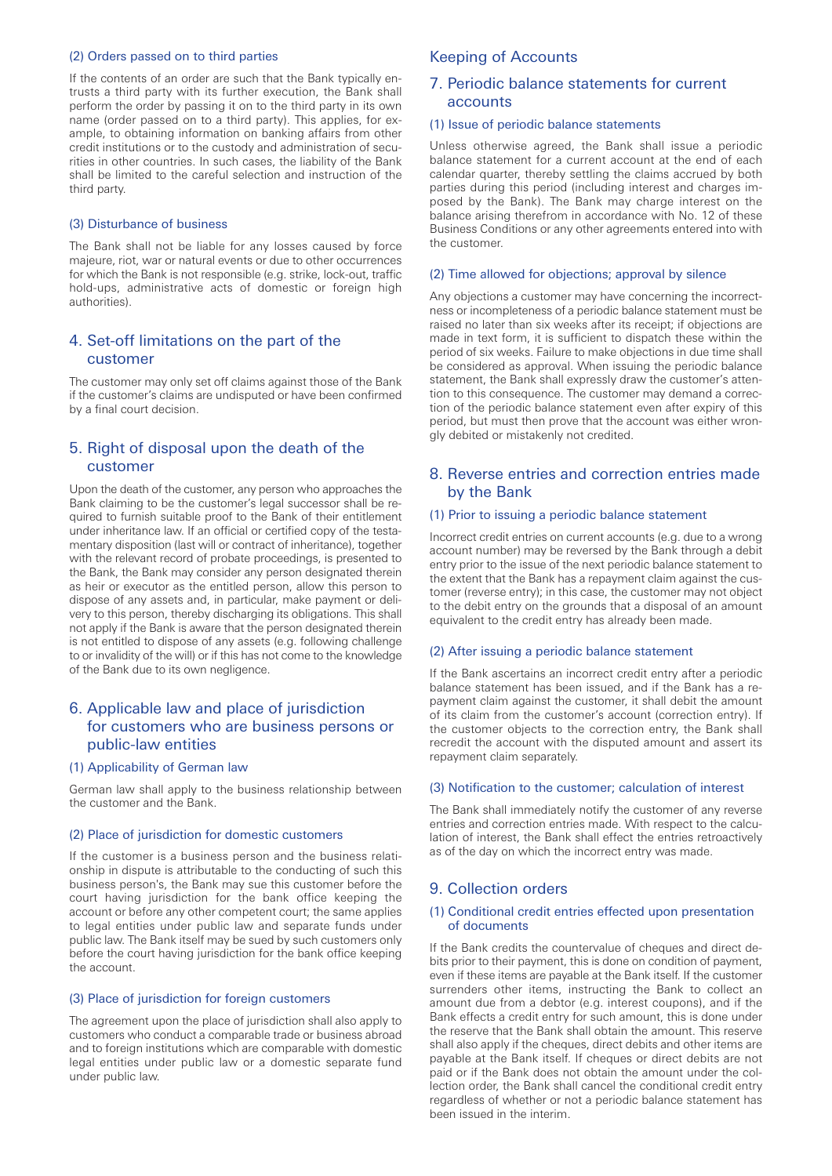### (2) Orders passed on to third parties

If the contents of an order are such that the Bank typically entrusts a third party with its further execution, the Bank shall perform the order by passing it on to the third party in its own name (order passed on to a third party). This applies, for example, to obtaining information on banking affairs from other credit institutions or to the custody and administration of securities in other countries. In such cases, the liability of the Bank shall be limited to the careful selection and instruction of the third party.

### (3) Disturbance of business

The Bank shall not be liable for any losses caused by force majeure, riot, war or natural events or due to other occurrences for which the Bank is not responsible (e.g. strike, lock-out, traffic hold-ups, administrative acts of domestic or foreign high authorities).

## 4. Set-off limitations on the part of the customer

The customer may only set off claims against those of the Bank if the customer's claims are undisputed or have been confirmed by a final court decision.

## 5. Right of disposal upon the death of the customer

Upon the death of the customer, any person who approaches the Bank claiming to be the customer's legal successor shall be required to furnish suitable proof to the Bank of their entitlement under inheritance law. If an official or certified copy of the testamentary disposition (last will or contract of inheritance), together with the relevant record of probate proceedings, is presented to the Bank, the Bank may consider any person designated therein as heir or executor as the entitled person, allow this person to dispose of any assets and, in particular, make payment or delivery to this person, thereby discharging its obligations. This shall not apply if the Bank is aware that the person designated therein is not entitled to dispose of any assets (e.g. following challenge to or invalidity of the will) or if this has not come to the knowledge of the Bank due to its own negligence.

## 6. Applicable law and place of jurisdiction for customers who are business persons or public-law entities

#### (1) Applicability of German law

German law shall apply to the business relationship between the customer and the Bank.

### (2) Place of jurisdiction for domestic customers

If the customer is a business person and the business relationship in dispute is attributable to the conducting of such this business person's, the Bank may sue this customer before the court having jurisdiction for the bank office keeping the account or before any other competent court; the same applies to legal entities under public law and separate funds under public law. The Bank itself may be sued by such customers only before the court having jurisdiction for the bank office keeping the account.

#### (3) Place of jurisdiction for foreign customers

The agreement upon the place of jurisdiction shall also apply to customers who conduct a comparable trade or business abroad and to foreign institutions which are comparable with domestic legal entities under public law or a domestic separate fund under public law.

## Keeping of Accounts

## 7. Periodic balance statements for current accounts

#### (1) Issue of periodic balance statements

Unless otherwise agreed, the Bank shall issue a periodic balance statement for a current account at the end of each calendar quarter, thereby settling the claims accrued by both parties during this period (including interest and charges imposed by the Bank). The Bank may charge interest on the balance arising therefrom in accordance with No. 12 of these Business Conditions or any other agreements entered into with the customer.

### (2) Time allowed for objections; approval by silence

Any objections a customer may have concerning the incorrectness or incompleteness of a periodic balance statement must be raised no later than six weeks after its receipt; if objections are made in text form, it is sufficient to dispatch these within the period of six weeks. Failure to make objections in due time shall be considered as approval. When issuing the periodic balance statement, the Bank shall expressly draw the customer's attention to this consequence. The customer may demand a correction of the periodic balance statement even after expiry of this period, but must then prove that the account was either wrongly debited or mistakenly not credited.

## 8. Reverse entries and correction entries made by the Bank

#### (1) Prior to issuing a periodic balance statement

Incorrect credit entries on current accounts (e.g. due to a wrong account number) may be reversed by the Bank through a debit entry prior to the issue of the next periodic balance statement to the extent that the Bank has a repayment claim against the customer (reverse entry); in this case, the customer may not object to the debit entry on the grounds that a disposal of an amount equivalent to the credit entry has already been made.

#### (2) After issuing a periodic balance statement

If the Bank ascertains an incorrect credit entry after a periodic balance statement has been issued, and if the Bank has a repayment claim against the customer, it shall debit the amount of its claim from the customer's account (correction entry). If the customer objects to the correction entry, the Bank shall recredit the account with the disputed amount and assert its repayment claim separately.

### (3) Notification to the customer; calculation of interest

The Bank shall immediately notify the customer of any reverse entries and correction entries made. With respect to the calculation of interest, the Bank shall effect the entries retroactively as of the day on which the incorrect entry was made.

### 9. Collection orders

#### (1) Conditional credit entries effected upon presentation of documents

If the Bank credits the countervalue of cheques and direct debits prior to their payment, this is done on condition of payment, even if these items are payable at the Bank itself. If the customer surrenders other items, instructing the Bank to collect an amount due from a debtor (e.g. interest coupons), and if the Bank effects a credit entry for such amount, this is done under the reserve that the Bank shall obtain the amount. This reserve shall also apply if the cheques, direct debits and other items are payable at the Bank itself. If cheques or direct debits are not paid or if the Bank does not obtain the amount under the collection order, the Bank shall cancel the conditional credit entry regardless of whether or not a periodic balance statement has been issued in the interim.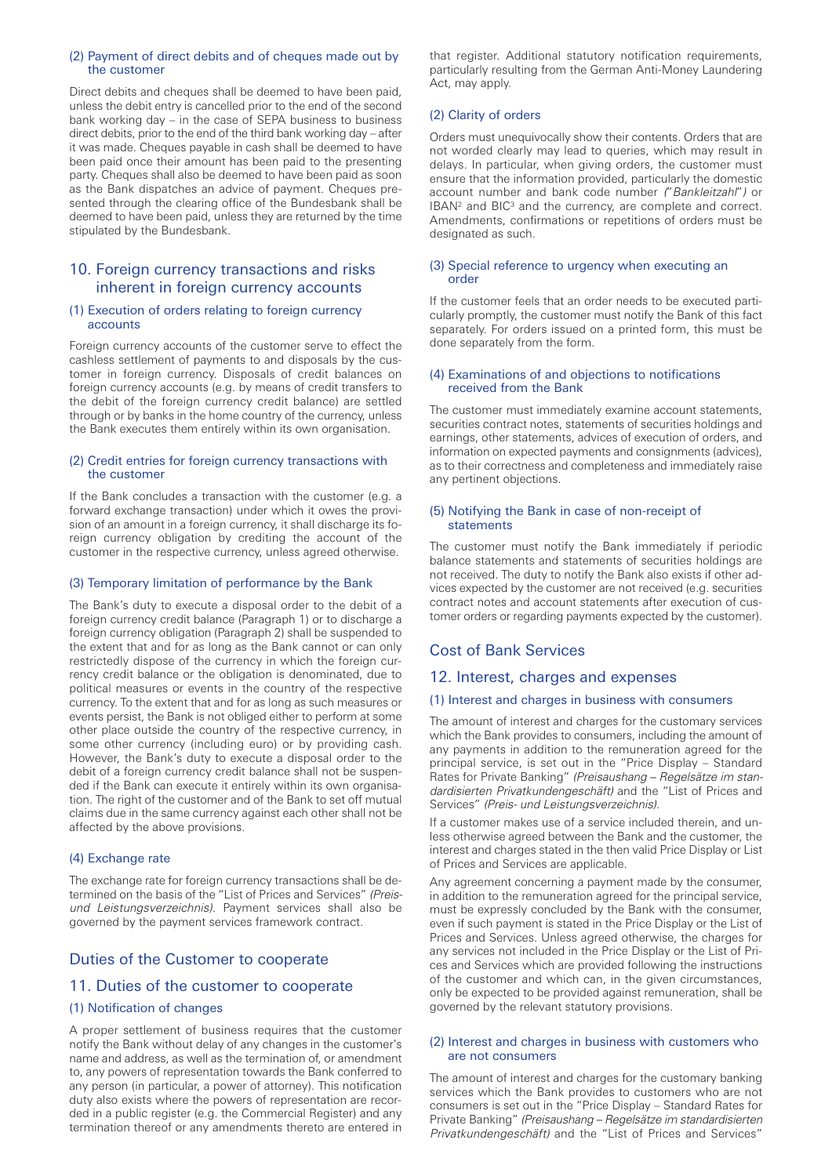### (2) Payment of direct debits and of cheques made out by the customer

Direct debits and cheques shall be deemed to have been paid, unless the debit entry is cancelled prior to the end of the second bank working day – in the case of SEPA business to business direct debits, prior to the end of the third bank working day – after it was made. Cheques payable in cash shall be deemed to have been paid once their amount has been paid to the presenting party. Cheques shall also be deemed to have been paid as soon as the Bank dispatches an advice of payment. Cheques presented through the clearing office of the Bundesbank shall be deemed to have been paid, unless they are returned by the time stipulated by the Bundesbank.

## 10. Foreign currency transactions and risks inherent in foreign currency accounts

### (1) Execution of orders relating to foreign currency accounts

Foreign currency accounts of the customer serve to effect the cashless settlement of payments to and disposals by the customer in foreign currency. Disposals of credit balances on foreign currency accounts (e.g. by means of credit transfers to the debit of the foreign currency credit balance) are settled through or by banks in the home country of the currency, unless the Bank executes them entirely within its own organisation.

### (2) Credit entries for foreign currency transactions with the customer

If the Bank concludes a transaction with the customer (e.g. a forward exchange transaction) under which it owes the provision of an amount in a foreign currency, it shall discharge its foreign currency obligation by crediting the account of the customer in the respective currency, unless agreed otherwise.

### (3) Temporary limitation of performance by the Bank

The Bank's duty to execute a disposal order to the debit of a foreign currency credit balance (Paragraph 1) or to discharge a foreign currency obligation (Paragraph 2) shall be suspended to the extent that and for as long as the Bank cannot or can only restrictedly dispose of the currency in which the foreign currency credit balance or the obligation is denominated, due to political measures or events in the country of the respective currency. To the extent that and for as long as such measures or events persist, the Bank is not obliged either to perform at some other place outside the country of the respective currency, in some other currency (including euro) or by providing cash. However, the Bank's duty to execute a disposal order to the debit of a foreign currency credit balance shall not be suspended if the Bank can execute it entirely within its own organisation. The right of the customer and of the Bank to set off mutual claims due in the same currency against each other shall not be affected by the above provisions.

### (4) Exchange rate

The exchange rate for foreign currency transactions shall be determined on the basis of the "List of Prices and Services" *(Preisund Leistungsverzeichnis)*. Payment services shall also be governed by the payment services framework contract.

## Duties of the Customer to cooperate

## 11. Duties of the customer to cooperate

### (1) Notification of changes

A proper settlement of business requires that the customer notify the Bank without delay of any changes in the customer's name and address, as well as the termination of, or amendment to, any powers of representation towards the Bank conferred to any person (in particular, a power of attorney). This notification duty also exists where the powers of representation are recorded in a public register (e.g. the Commercial Register) and any termination thereof or any amendments thereto are entered in

that register. Additional statutory notification requirements, particularly resulting from the German Anti-Money Laundering Act, may apply.

## (2) Clarity of orders

Orders must unequivocally show their contents. Orders that are not worded clearly may lead to queries, which may result in delays. In particular, when giving orders, the customer must ensure that the information provided, particularly the domestic account number and bank code number *(*"*Bankleitzahl*"*)* or IBAN2 and BIC3 and the currency, are complete and correct. Amendments, confirmations or repetitions of orders must be designated as such.

#### (3) Special reference to urgency when executing an order

If the customer feels that an order needs to be executed particularly promptly, the customer must notify the Bank of this fact separately. For orders issued on a printed form, this must be done separately from the form.

### (4) Examinations of and objections to notifications received from the Bank

The customer must immediately examine account statements, securities contract notes, statements of securities holdings and earnings, other statements, advices of execution of orders, and information on expected payments and consignments (advices), as to their correctness and completeness and immediately raise any pertinent objections.

#### (5) Notifying the Bank in case of non-receipt of statements

The customer must notify the Bank immediately if periodic balance statements and statements of securities holdings are not received. The duty to notify the Bank also exists if other advices expected by the customer are not received (e.g. securities contract notes and account statements after execution of customer orders or regarding payments expected by the customer).

## Cost of Bank Services

## 12. Interest, charges and expenses

### (1) Interest and charges in business with consumers

The amount of interest and charges for the customary services which the Bank provides to consumers, including the amount of any payments in addition to the remuneration agreed for the principal service, is set out in the "Price Display – Standard Rates for Private Banking" *(Preisaushang – Regelsätze im standardisierten Privatkundengeschäft)* and the "List of Prices and Services" *(Preis- und Leistungsverzeichnis)*.

If a customer makes use of a service included therein, and unless otherwise agreed between the Bank and the customer, the interest and charges stated in the then valid Price Display or List of Prices and Services are applicable.

Any agreement concerning a payment made by the consumer, in addition to the remuneration agreed for the principal service, must be expressly concluded by the Bank with the consumer, even if such payment is stated in the Price Display or the List of Prices and Services. Unless agreed otherwise, the charges for any services not included in the Price Display or the List of Prices and Services which are provided following the instructions of the customer and which can, in the given circumstances, only be expected to be provided against remuneration, shall be governed by the relevant statutory provisions.

### (2) Interest and charges in business with customers who are not consumers

The amount of interest and charges for the customary banking services which the Bank provides to customers who are not consumers is set out in the "Price Display – Standard Rates for Private Banking" *(Preisaushang – Regelsätze im standardisierten Privatkundengeschäft)* and the "List of Prices and Services"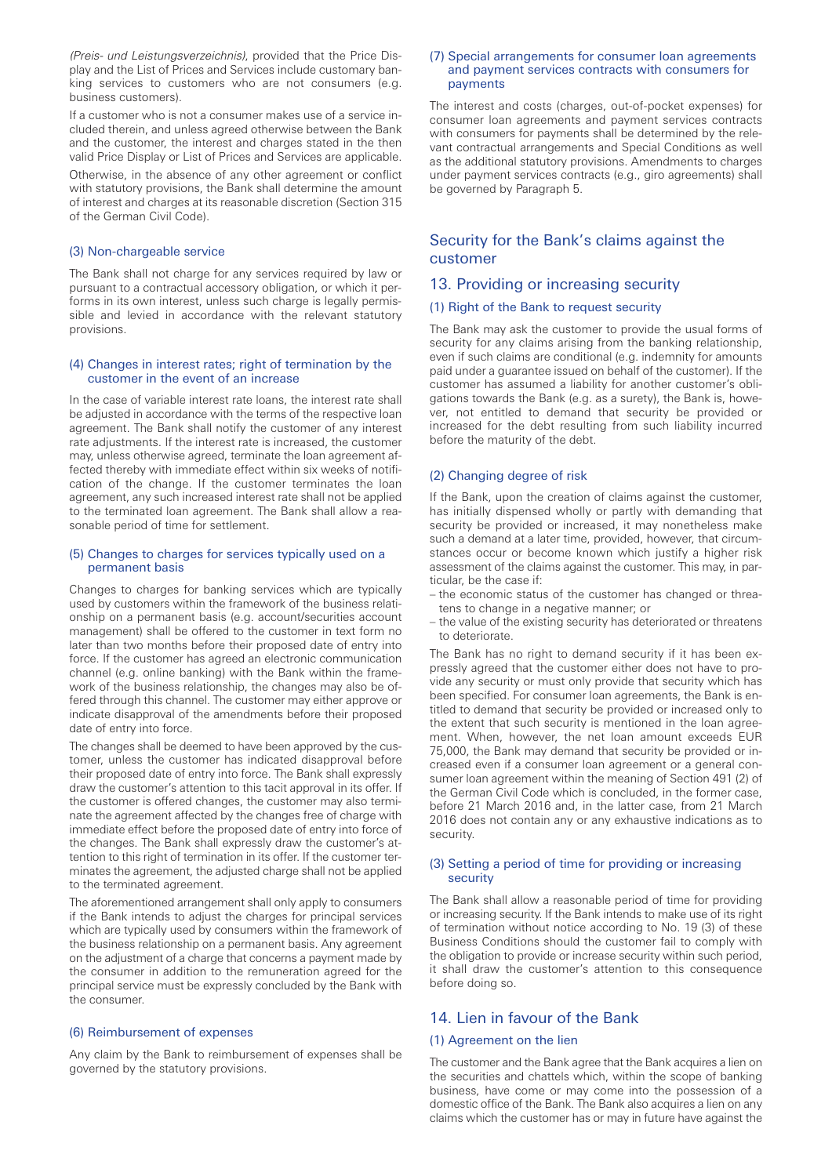*(Preis- und Leistungsverzeichnis)*, provided that the Price Display and the List of Prices and Services include customary banking services to customers who are not consumers (e.g. business customers).

If a customer who is not a consumer makes use of a service included therein, and unless agreed otherwise between the Bank and the customer, the interest and charges stated in the then valid Price Display or List of Prices and Services are applicable.

Otherwise, in the absence of any other agreement or conflict with statutory provisions, the Bank shall determine the amount of interest and charges at its reasonable discretion (Section 315 of the German Civil Code).

### (3) Non-chargeable service

The Bank shall not charge for any services required by law or pursuant to a contractual accessory obligation, or which it performs in its own interest, unless such charge is legally permissible and levied in accordance with the relevant statutory provisions.

### (4) Changes in interest rates; right of termination by the customer in the event of an increase

In the case of variable interest rate loans, the interest rate shall be adjusted in accordance with the terms of the respective loan agreement. The Bank shall notify the customer of any interest rate adjustments. If the interest rate is increased, the customer may, unless otherwise agreed, terminate the loan agreement affected thereby with immediate effect within six weeks of notification of the change. If the customer terminates the loan agreement, any such increased interest rate shall not be applied to the terminated loan agreement. The Bank shall allow a reasonable period of time for settlement.

#### (5) Changes to charges for services typically used on a permanent basis

Changes to charges for banking services which are typically used by customers within the framework of the business relationship on a permanent basis (e.g. account/securities account management) shall be offered to the customer in text form no later than two months before their proposed date of entry into force. If the customer has agreed an electronic communication channel (e.g. online banking) with the Bank within the framework of the business relationship, the changes may also be offered through this channel. The customer may either approve or indicate disapproval of the amendments before their proposed date of entry into force.

The changes shall be deemed to have been approved by the customer, unless the customer has indicated disapproval before their proposed date of entry into force. The Bank shall expressly draw the customer's attention to this tacit approval in its offer. If the customer is offered changes, the customer may also terminate the agreement affected by the changes free of charge with immediate effect before the proposed date of entry into force of the changes. The Bank shall expressly draw the customer's attention to this right of termination in its offer. If the customer terminates the agreement, the adjusted charge shall not be applied to the terminated agreement.

The aforementioned arrangement shall only apply to consumers if the Bank intends to adjust the charges for principal services which are typically used by consumers within the framework of the business relationship on a permanent basis. Any agreement on the adjustment of a charge that concerns a payment made by the consumer in addition to the remuneration agreed for the principal service must be expressly concluded by the Bank with the consumer.

### (6) Reimbursement of expenses

Any claim by the Bank to reimbursement of expenses shall be governed by the statutory provisions.

#### (7) Special arrangements for consumer loan agreements and payment services contracts with consumers for payments

The interest and costs (charges, out-of-pocket expenses) for consumer loan agreements and payment services contracts with consumers for payments shall be determined by the relevant contractual arrangements and Special Conditions as well as the additional statutory provisions. Amendments to charges under payment services contracts (e.g., giro agreements) shall be governed by Paragraph 5.

## Security for the Bank's claims against the customer

### 13. Providing or increasing security

## (1) Right of the Bank to request security

The Bank may ask the customer to provide the usual forms of security for any claims arising from the banking relationship, even if such claims are conditional (e.g. indemnity for amounts paid under a guarantee issued on behalf of the customer). If the customer has assumed a liability for another customer's obligations towards the Bank (e.g. as a surety), the Bank is, however, not entitled to demand that security be provided or increased for the debt resulting from such liability incurred before the maturity of the debt.

#### (2) Changing degree of risk

If the Bank, upon the creation of claims against the customer, has initially dispensed wholly or partly with demanding that security be provided or increased, it may nonetheless make such a demand at a later time, provided, however, that circumstances occur or become known which justify a higher risk assessment of the claims against the customer. This may, in particular, be the case if:

- the economic status of the customer has changed or threatens to change in a negative manner; or
- the value of the existing security has deteriorated or threatens to deteriorate.

The Bank has no right to demand security if it has been expressly agreed that the customer either does not have to provide any security or must only provide that security which has been specified. For consumer loan agreements, the Bank is entitled to demand that security be provided or increased only to the extent that such security is mentioned in the loan agreement. When, however, the net loan amount exceeds EUR 75,000, the Bank may demand that security be provided or increased even if a consumer loan agreement or a general consumer loan agreement within the meaning of Section 491 (2) of the German Civil Code which is concluded, in the former case, before 21 March 2016 and, in the latter case, from 21 March 2016 does not contain any or any exhaustive indications as to security.

#### (3) Setting a period of time for providing or increasing security

The Bank shall allow a reasonable period of time for providing or increasing security. If the Bank intends to make use of its right of termination without notice according to No. 19 (3) of these Business Conditions should the customer fail to comply with the obligation to provide or increase security within such period, it shall draw the customer's attention to this consequence before doing so.

## 14. Lien in favour of the Bank

#### (1) Agreement on the lien

The customer and the Bank agree that the Bank acquires a lien on the securities and chattels which, within the scope of banking business, have come or may come into the possession of a domestic office of the Bank. The Bank also acquires a lien on any claims which the customer has or may in future have against the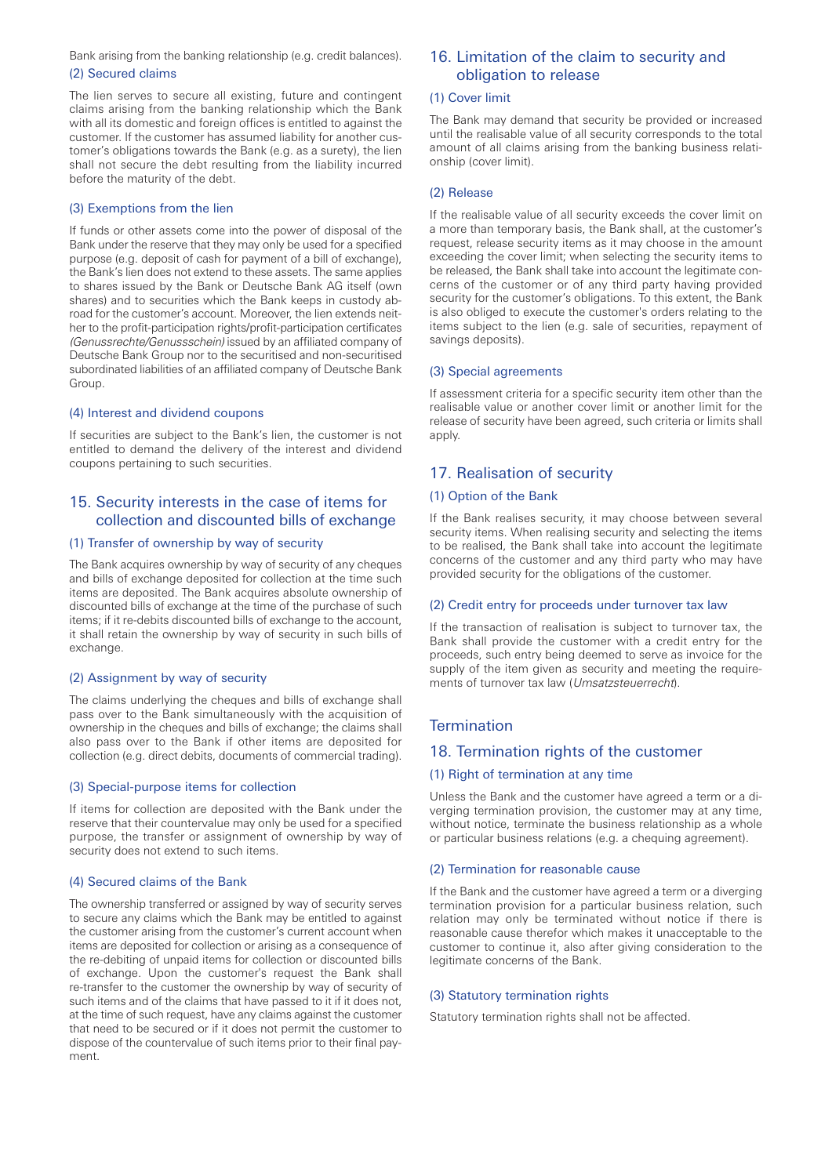Bank arising from the banking relationship (e.g. credit balances). (2) Secured claims

The lien serves to secure all existing, future and contingent claims arising from the banking relationship which the Bank with all its domestic and foreign offices is entitled to against the customer. If the customer has assumed liability for another customer's obligations towards the Bank (e.g. as a surety), the lien shall not secure the debt resulting from the liability incurred before the maturity of the debt.

### (3) Exemptions from the lien

If funds or other assets come into the power of disposal of the Bank under the reserve that they may only be used for a specified purpose (e.g. deposit of cash for payment of a bill of exchange), the Bank's lien does not extend to these assets. The same applies to shares issued by the Bank or Deutsche Bank AG itself (own shares) and to securities which the Bank keeps in custody abroad for the customer's account. Moreover, the lien extends neither to the profit-participation rights/profit-participation certificates *(Genussrechte/Genussschein)* issued by an affiliated company of Deutsche Bank Group nor to the securitised and non-securitised subordinated liabilities of an affiliated company of Deutsche Bank Group.

#### (4) Interest and dividend coupons

If securities are subject to the Bank's lien, the customer is not entitled to demand the delivery of the interest and dividend coupons pertaining to such securities.

## 15. Security interests in the case of items for collection and discounted bills of exchange

### (1) Transfer of ownership by way of security

The Bank acquires ownership by way of security of any cheques and bills of exchange deposited for collection at the time such items are deposited. The Bank acquires absolute ownership of discounted bills of exchange at the time of the purchase of such items; if it re-debits discounted bills of exchange to the account, it shall retain the ownership by way of security in such bills of exchange.

### (2) Assignment by way of security

The claims underlying the cheques and bills of exchange shall pass over to the Bank simultaneously with the acquisition of ownership in the cheques and bills of exchange; the claims shall also pass over to the Bank if other items are deposited for collection (e.g. direct debits, documents of commercial trading).

### (3) Special-purpose items for collection

If items for collection are deposited with the Bank under the reserve that their countervalue may only be used for a specified purpose, the transfer or assignment of ownership by way of security does not extend to such items.

#### (4) Secured claims of the Bank

The ownership transferred or assigned by way of security serves to secure any claims which the Bank may be entitled to against the customer arising from the customer's current account when items are deposited for collection or arising as a consequence of the re-debiting of unpaid items for collection or discounted bills of exchange. Upon the customer's request the Bank shall re-transfer to the customer the ownership by way of security of such items and of the claims that have passed to it if it does not, at the time of such request, have any claims against the customer that need to be secured or if it does not permit the customer to dispose of the countervalue of such items prior to their final payment.

## 16. Limitation of the claim to security and obligation to release

#### (1) Cover limit

The Bank may demand that security be provided or increased until the realisable value of all security corresponds to the total amount of all claims arising from the banking business relationship (cover limit).

#### (2) Release

If the realisable value of all security exceeds the cover limit on a more than temporary basis, the Bank shall, at the customer's request, release security items as it may choose in the amount exceeding the cover limit; when selecting the security items to be released, the Bank shall take into account the legitimate concerns of the customer or of any third party having provided security for the customer's obligations. To this extent, the Bank is also obliged to execute the customer's orders relating to the items subject to the lien (e.g. sale of securities, repayment of savings deposits).

#### (3) Special agreements

If assessment criteria for a specific security item other than the realisable value or another cover limit or another limit for the release of security have been agreed, such criteria or limits shall apply.

## 17. Realisation of security

## (1) Option of the Bank

If the Bank realises security, it may choose between several security items. When realising security and selecting the items to be realised, the Bank shall take into account the legitimate concerns of the customer and any third party who may have provided security for the obligations of the customer.

#### (2) Credit entry for proceeds under turnover tax law

If the transaction of realisation is subject to turnover tax, the Bank shall provide the customer with a credit entry for the proceeds, such entry being deemed to serve as invoice for the supply of the item given as security and meeting the requirements of turnover tax law (*Umsatzsteuerrecht*).

## **Termination**

## 18. Termination rights of the customer

### (1) Right of termination at any time

Unless the Bank and the customer have agreed a term or a diverging termination provision, the customer may at any time, without notice, terminate the business relationship as a whole or particular business relations (e.g. a chequing agreement).

#### (2) Termination for reasonable cause

If the Bank and the customer have agreed a term or a diverging termination provision for a particular business relation, such relation may only be terminated without notice if there is reasonable cause therefor which makes it unacceptable to the customer to continue it, also after giving consideration to the legitimate concerns of the Bank.

#### (3) Statutory termination rights

Statutory termination rights shall not be affected.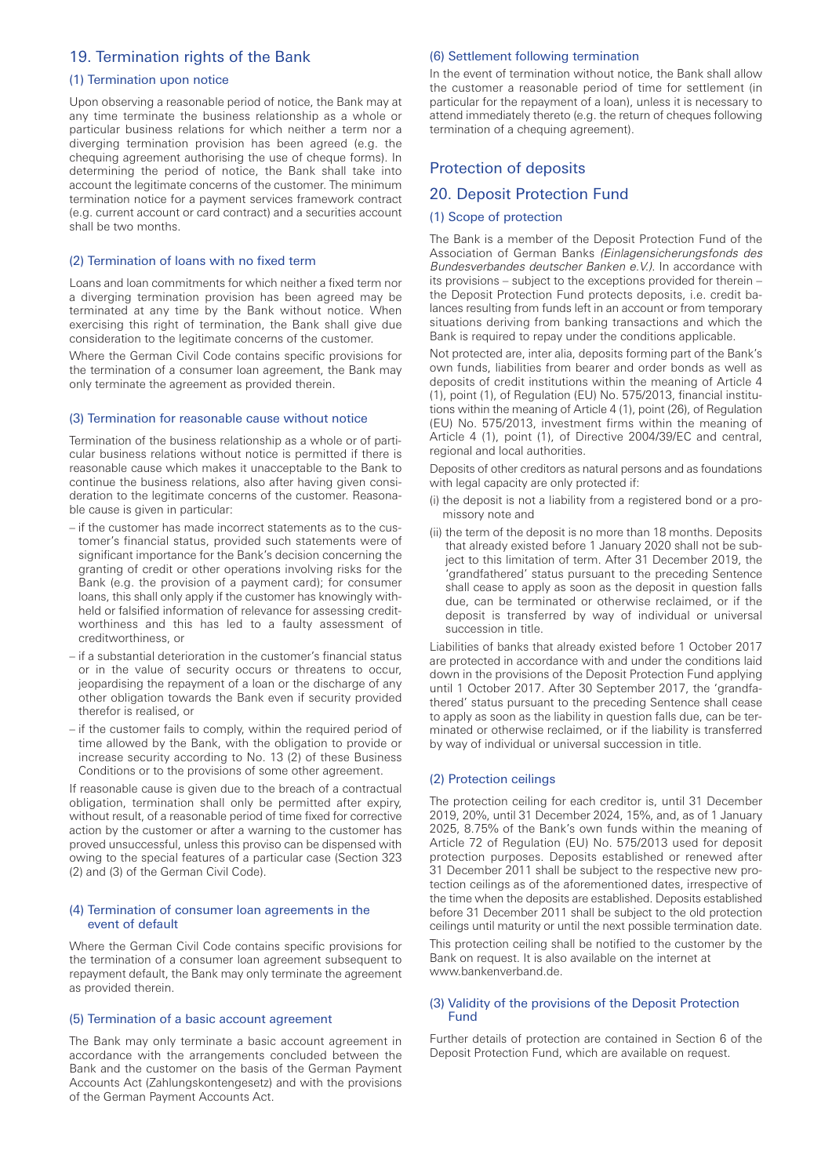## 19. Termination rights of the Bank

#### (1) Termination upon notice

Upon observing a reasonable period of notice, the Bank may at any time terminate the business relationship as a whole or particular business relations for which neither a term nor a diverging termination provision has been agreed (e.g. the chequing agreement authorising the use of cheque forms). In determining the period of notice, the Bank shall take into account the legitimate concerns of the customer. The minimum termination notice for a payment services framework contract (e.g. current account or card contract) and a securities account shall be two months.

### (2) Termination of loans with no fixed term

Loans and loan commitments for which neither a fixed term nor a diverging termination provision has been agreed may be terminated at any time by the Bank without notice. When exercising this right of termination, the Bank shall give due consideration to the legitimate concerns of the customer.

Where the German Civil Code contains specific provisions for the termination of a consumer loan agreement, the Bank may only terminate the agreement as provided therein.

#### (3) Termination for reasonable cause without notice

Termination of the business relationship as a whole or of particular business relations without notice is permitted if there is reasonable cause which makes it unacceptable to the Bank to continue the business relations, also after having given consideration to the legitimate concerns of the customer. Reasonable cause is given in particular:

- if the customer has made incorrect statements as to the customer's financial status, provided such statements were of significant importance for the Bank's decision concerning the granting of credit or other operations involving risks for the Bank (e.g. the provision of a payment card); for consumer loans, this shall only apply if the customer has knowingly withheld or falsified information of relevance for assessing creditworthiness and this has led to a faulty assessment of creditworthiness, or
- if a substantial deterioration in the customer's financial status or in the value of security occurs or threatens to occur, jeopardising the repayment of a loan or the discharge of any other obligation towards the Bank even if security provided therefor is realised, or
- if the customer fails to comply, within the required period of time allowed by the Bank, with the obligation to provide or increase security according to No. 13 (2) of these Business Conditions or to the provisions of some other agreement.

If reasonable cause is given due to the breach of a contractual obligation, termination shall only be permitted after expiry, without result, of a reasonable period of time fixed for corrective action by the customer or after a warning to the customer has proved unsuccessful, unless this proviso can be dispensed with owing to the special features of a particular case (Section 323 (2) and (3) of the German Civil Code).

### (4) Termination of consumer loan agreements in the event of default

Where the German Civil Code contains specific provisions for the termination of a consumer loan agreement subsequent to repayment default, the Bank may only terminate the agreement as provided therein.

#### (5) Termination of a basic account agreement

The Bank may only terminate a basic account agreement in accordance with the arrangements concluded between the Bank and the customer on the basis of the German Payment Accounts Act (Zahlungskontengesetz) and with the provisions of the German Payment Accounts Act.

### (6) Settlement following termination

In the event of termination without notice, the Bank shall allow the customer a reasonable period of time for settlement (in particular for the repayment of a loan), unless it is necessary to attend immediately thereto (e.g. the return of cheques following termination of a chequing agreement).

## Protection of deposits

### 20. Deposit Protection Fund

#### (1) Scope of protection

The Bank is a member of the Deposit Protection Fund of the Association of German Banks *(Einlagensicherungsfonds des Bundesverbandes deutscher Banken e.V.)*. In accordance with its provisions – subject to the exceptions provided for therein – the Deposit Protection Fund protects deposits, i.e. credit balances resulting from funds left in an account or from temporary situations deriving from banking transactions and which the Bank is required to repay under the conditions applicable.

Not protected are, inter alia, deposits forming part of the Bank's own funds, liabilities from bearer and order bonds as well as deposits of credit institutions within the meaning of Article 4 (1), point (1), of Regulation (EU) No. 575/2013, financial institutions within the meaning of Article 4 (1), point (26), of Regulation (EU) No. 575/2013, investment firms within the meaning of Article 4 (1), point (1), of Directive 2004/39/EC and central, regional and local authorities.

Deposits of other creditors as natural persons and as foundations with legal capacity are only protected if:

- (i) the deposit is not a liability from a registered bond or a promissory note and
- (ii) the term of the deposit is no more than 18 months. Deposits that already existed before 1 January 2020 shall not be subject to this limitation of term. After 31 December 2019, the 'grandfathered' status pursuant to the preceding Sentence shall cease to apply as soon as the deposit in question falls due, can be terminated or otherwise reclaimed, or if the deposit is transferred by way of individual or universal succession in title.

Liabilities of banks that already existed before 1 October 2017 are protected in accordance with and under the conditions laid down in the provisions of the Deposit Protection Fund applying until 1 October 2017. After 30 September 2017, the 'grandfathered' status pursuant to the preceding Sentence shall cease to apply as soon as the liability in question falls due, can be terminated or otherwise reclaimed, or if the liability is transferred by way of individual or universal succession in title.

### (2) Protection ceilings

The protection ceiling for each creditor is, until 31 December 2019, 20%, until 31 December 2024, 15%, and, as of 1 January 2025, 8.75% of the Bank's own funds within the meaning of Article 72 of Regulation (EU) No. 575/2013 used for deposit protection purposes. Deposits established or renewed after 31 December 2011 shall be subject to the respective new protection ceilings as of the aforementioned dates, irrespective of the time when the deposits are established. Deposits established before 31 December 2011 shall be subject to the old protection ceilings until maturity or until the next possible termination date.

This protection ceiling shall be notified to the customer by the Bank on request. It is also available on the internet at www.bankenverband.de.

#### (3) Validity of the provisions of the Deposit Protection Fund

Further details of protection are contained in Section 6 of the Deposit Protection Fund, which are available on request.